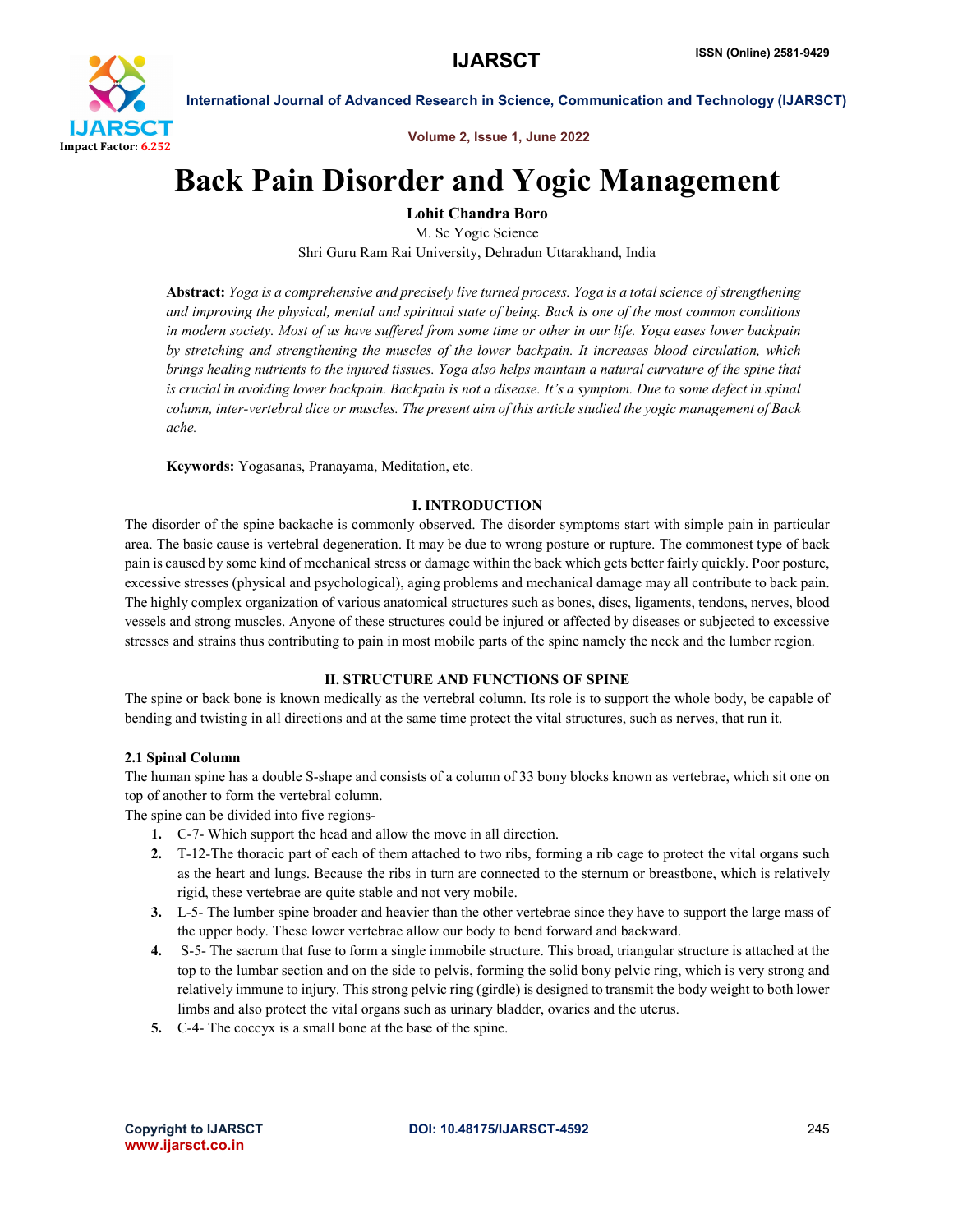

Volume 2, Issue 1, June 2022

# Back Pain Disorder and Yogic Management

Lohit Chandra Boro

M. Sc Yogic Science Shri Guru Ram Rai University, Dehradun Uttarakhand, India

Abstract: *Yoga is a comprehensive and precisely live turned process. Yoga is a total science of strengthening and improving the physical, mental and spiritual state of being. Back is one of the most common conditions in modern society. Most of us have suffered from some time or other in our life. Yoga eases lower backpain by stretching and strengthening the muscles of the lower backpain. It increases blood circulation, which brings healing nutrients to the injured tissues. Yoga also helps maintain a natural curvature of the spine that is crucial in avoiding lower backpain. Backpain is not a disease. It's a symptom. Due to some defect in spinal column, inter-vertebral dice or muscles. The present aim of this article studied the yogic management of Back ache.*

Keywords: Yogasanas, Pranayama, Meditation, etc.

# I. INTRODUCTION

The disorder of the spine backache is commonly observed. The disorder symptoms start with simple pain in particular area. The basic cause is vertebral degeneration. It may be due to wrong posture or rupture. The commonest type of back pain is caused by some kind of mechanical stress or damage within the back which gets better fairly quickly. Poor posture, excessive stresses (physical and psychological), aging problems and mechanical damage may all contribute to back pain. The highly complex organization of various anatomical structures such as bones, discs, ligaments, tendons, nerves, blood vessels and strong muscles. Anyone of these structures could be injured or affected by diseases or subjected to excessive stresses and strains thus contributing to pain in most mobile parts of the spine namely the neck and the lumber region.

# II. STRUCTURE AND FUNCTIONS OF SPINE

The spine or back bone is known medically as the vertebral column. Its role is to support the whole body, be capable of bending and twisting in all directions and at the same time protect the vital structures, such as nerves, that run it.

# 2.1 Spinal Column

The human spine has a double S-shape and consists of a column of 33 bony blocks known as vertebrae, which sit one on top of another to form the vertebral column.

The spine can be divided into five regions-

- 1. C-7- Which support the head and allow the move in all direction.
- 2. T-12-The thoracic part of each of them attached to two ribs, forming a rib cage to protect the vital organs such as the heart and lungs. Because the ribs in turn are connected to the sternum or breastbone, which is relatively rigid, these vertebrae are quite stable and not very mobile.
- 3. L-5- The lumber spine broader and heavier than the other vertebrae since they have to support the large mass of the upper body. These lower vertebrae allow our body to bend forward and backward.
- 4. S-5- The sacrum that fuse to form a single immobile structure. This broad, triangular structure is attached at the top to the lumbar section and on the side to pelvis, forming the solid bony pelvic ring, which is very strong and relatively immune to injury. This strong pelvic ring (girdle) is designed to transmit the body weight to both lower limbs and also protect the vital organs such as urinary bladder, ovaries and the uterus.
- 5. C-4- The coccyx is a small bone at the base of the spine.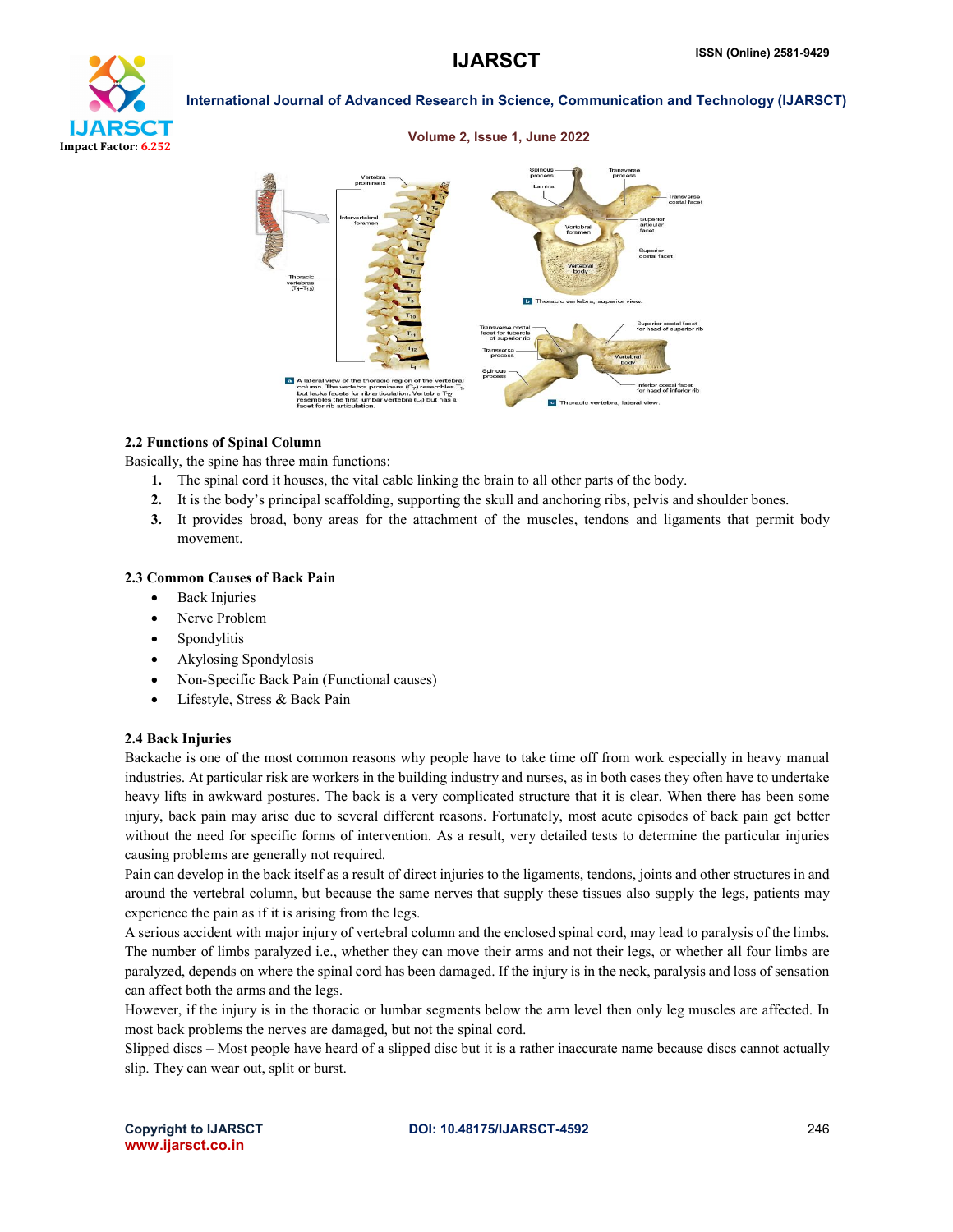

### Volume 2, Issue 1, June 2022



# 2.2 Functions of Spinal Column

Basically, the spine has three main functions:

- 1. The spinal cord it houses, the vital cable linking the brain to all other parts of the body.
- 2. It is the body's principal scaffolding, supporting the skull and anchoring ribs, pelvis and shoulder bones.
- 3. It provides broad, bony areas for the attachment of the muscles, tendons and ligaments that permit body movement.

# 2.3 Common Causes of Back Pain

- Back Injuries
- Nerve Problem
- Spondylitis
- Akylosing Spondylosis
- Non-Specific Back Pain (Functional causes)
- Lifestyle, Stress & Back Pain

# 2.4 Back Injuries

Backache is one of the most common reasons why people have to take time off from work especially in heavy manual industries. At particular risk are workers in the building industry and nurses, as in both cases they often have to undertake heavy lifts in awkward postures. The back is a very complicated structure that it is clear. When there has been some injury, back pain may arise due to several different reasons. Fortunately, most acute episodes of back pain get better without the need for specific forms of intervention. As a result, very detailed tests to determine the particular injuries causing problems are generally not required.

Pain can develop in the back itself as a result of direct injuries to the ligaments, tendons, joints and other structures in and around the vertebral column, but because the same nerves that supply these tissues also supply the legs, patients may experience the pain as if it is arising from the legs.

A serious accident with major injury of vertebral column and the enclosed spinal cord, may lead to paralysis of the limbs. The number of limbs paralyzed i.e., whether they can move their arms and not their legs, or whether all four limbs are paralyzed, depends on where the spinal cord has been damaged. If the injury is in the neck, paralysis and loss of sensation can affect both the arms and the legs.

However, if the injury is in the thoracic or lumbar segments below the arm level then only leg muscles are affected. In most back problems the nerves are damaged, but not the spinal cord.

Slipped discs – Most people have heard of a slipped disc but it is a rather inaccurate name because discs cannot actually slip. They can wear out, split or burst.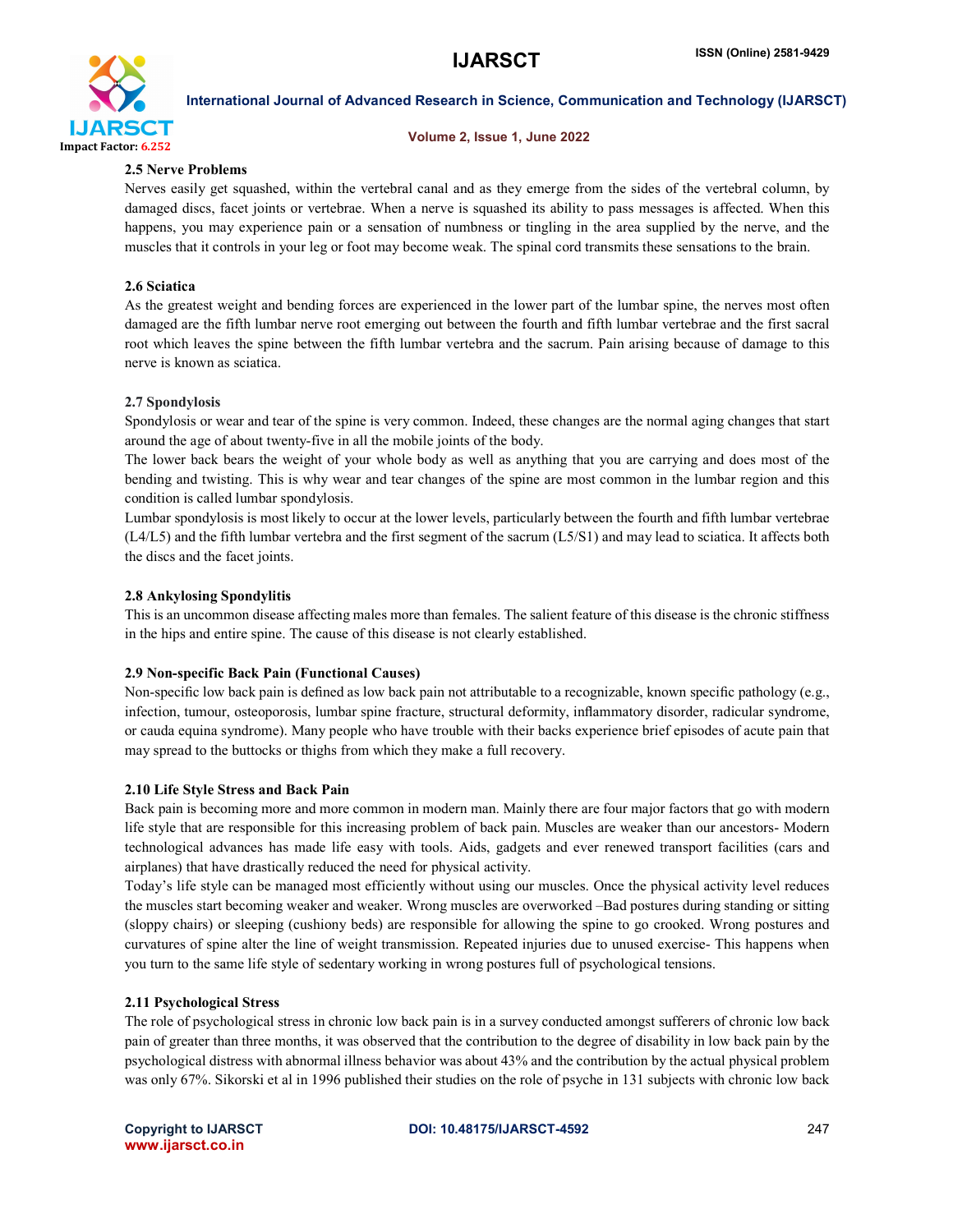

# Volume 2, Issue 1, June 2022

# 2.5 Nerve Problems

Nerves easily get squashed, within the vertebral canal and as they emerge from the sides of the vertebral column, by damaged discs, facet joints or vertebrae. When a nerve is squashed its ability to pass messages is affected. When this happens, you may experience pain or a sensation of numbness or tingling in the area supplied by the nerve, and the muscles that it controls in your leg or foot may become weak. The spinal cord transmits these sensations to the brain.

# 2.6 Sciatica

As the greatest weight and bending forces are experienced in the lower part of the lumbar spine, the nerves most often damaged are the fifth lumbar nerve root emerging out between the fourth and fifth lumbar vertebrae and the first sacral root which leaves the spine between the fifth lumbar vertebra and the sacrum. Pain arising because of damage to this nerve is known as sciatica.

# 2.7 Spondylosis

Spondylosis or wear and tear of the spine is very common. Indeed, these changes are the normal aging changes that start around the age of about twenty-five in all the mobile joints of the body.

The lower back bears the weight of your whole body as well as anything that you are carrying and does most of the bending and twisting. This is why wear and tear changes of the spine are most common in the lumbar region and this condition is called lumbar spondylosis.

Lumbar spondylosis is most likely to occur at the lower levels, particularly between the fourth and fifth lumbar vertebrae (L4/L5) and the fifth lumbar vertebra and the first segment of the sacrum (L5/S1) and may lead to sciatica. It affects both the discs and the facet joints.

# 2.8 Ankylosing Spondylitis

This is an uncommon disease affecting males more than females. The salient feature of this disease is the chronic stiffness in the hips and entire spine. The cause of this disease is not clearly established.

# 2.9 Non-specific Back Pain (Functional Causes)

Non-specific low back pain is defined as low back pain not attributable to a recognizable, known specific pathology (e.g., infection, tumour, osteoporosis, lumbar spine fracture, structural deformity, inflammatory disorder, radicular syndrome, or cauda equina syndrome). Many people who have trouble with their backs experience brief episodes of acute pain that may spread to the buttocks or thighs from which they make a full recovery.

### 2.10 Life Style Stress and Back Pain

Back pain is becoming more and more common in modern man. Mainly there are four major factors that go with modern life style that are responsible for this increasing problem of back pain. Muscles are weaker than our ancestors- Modern technological advances has made life easy with tools. Aids, gadgets and ever renewed transport facilities (cars and airplanes) that have drastically reduced the need for physical activity.

Today's life style can be managed most efficiently without using our muscles. Once the physical activity level reduces the muscles start becoming weaker and weaker. Wrong muscles are overworked –Bad postures during standing or sitting (sloppy chairs) or sleeping (cushiony beds) are responsible for allowing the spine to go crooked. Wrong postures and curvatures of spine alter the line of weight transmission. Repeated injuries due to unused exercise- This happens when you turn to the same life style of sedentary working in wrong postures full of psychological tensions.

# 2.11 Psychological Stress

The role of psychological stress in chronic low back pain is in a survey conducted amongst sufferers of chronic low back pain of greater than three months, it was observed that the contribution to the degree of disability in low back pain by the psychological distress with abnormal illness behavior was about 43% and the contribution by the actual physical problem was only 67%. Sikorski et al in 1996 published their studies on the role of psyche in 131 subjects with chronic low back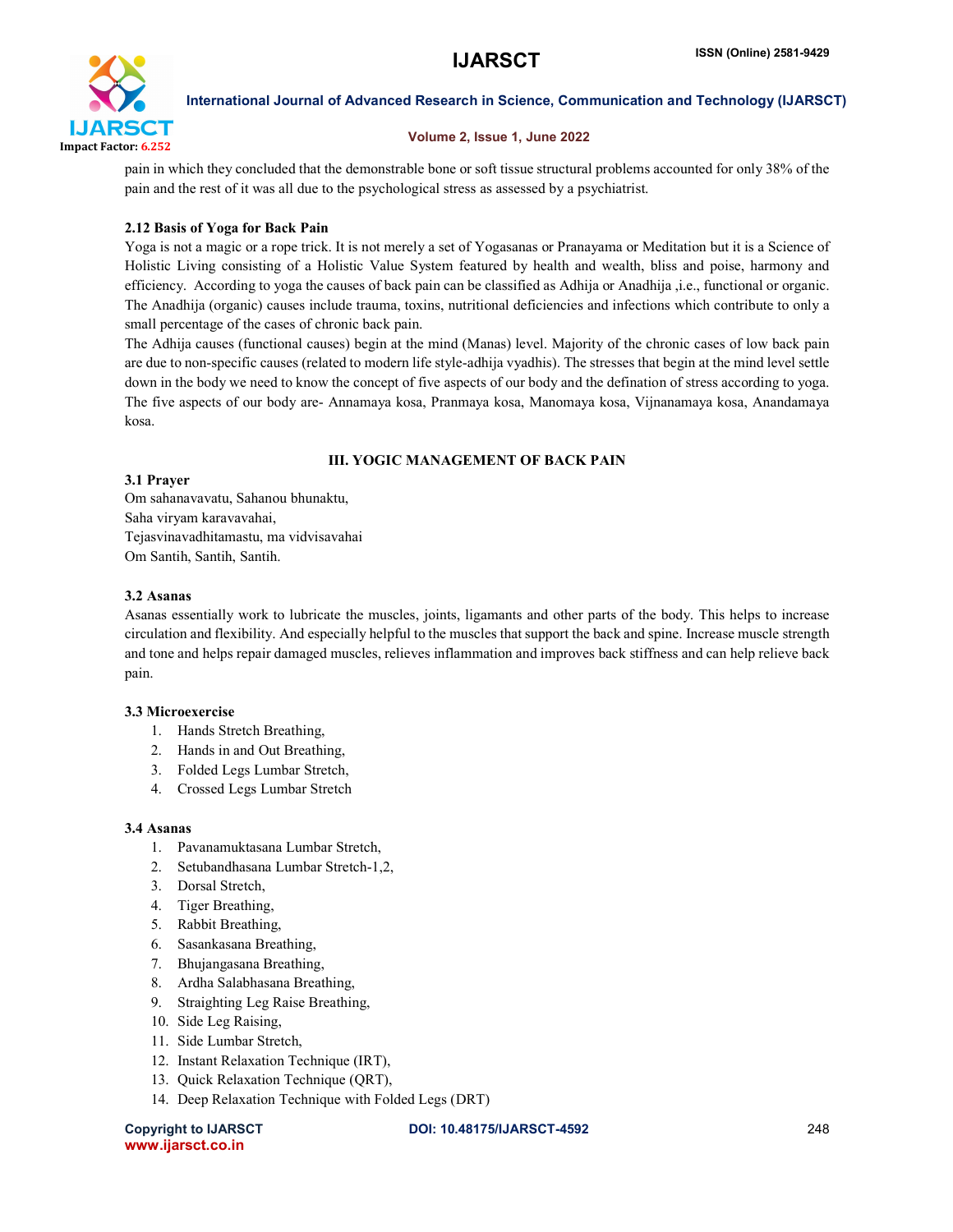

# Volume 2, Issue 1, June 2022

pain in which they concluded that the demonstrable bone or soft tissue structural problems accounted for only 38% of the pain and the rest of it was all due to the psychological stress as assessed by a psychiatrist.

# 2.12 Basis of Yoga for Back Pain

Yoga is not a magic or a rope trick. It is not merely a set of Yogasanas or Pranayama or Meditation but it is a Science of Holistic Living consisting of a Holistic Value System featured by health and wealth, bliss and poise, harmony and efficiency. According to yoga the causes of back pain can be classified as Adhija or Anadhija ,i.e., functional or organic. The Anadhija (organic) causes include trauma, toxins, nutritional deficiencies and infections which contribute to only a small percentage of the cases of chronic back pain.

The Adhija causes (functional causes) begin at the mind (Manas) level. Majority of the chronic cases of low back pain are due to non-specific causes (related to modern life style-adhija vyadhis). The stresses that begin at the mind level settle down in the body we need to know the concept of five aspects of our body and the defination of stress according to yoga. The five aspects of our body are- Annamaya kosa, Pranmaya kosa, Manomaya kosa, Vijnanamaya kosa, Anandamaya kosa.

# III. YOGIC MANAGEMENT OF BACK PAIN

# 3.1 Prayer

Om sahanavavatu, Sahanou bhunaktu, Saha viryam karavavahai, Tejasvinavadhitamastu, ma vidvisavahai Om Santih, Santih, Santih.

# 3.2 Asanas

Asanas essentially work to lubricate the muscles, joints, ligamants and other parts of the body. This helps to increase circulation and flexibility. And especially helpful to the muscles that support the back and spine. Increase muscle strength and tone and helps repair damaged muscles, relieves inflammation and improves back stiffness and can help relieve back pain.

# 3.3 Microexercise

- 1. Hands Stretch Breathing,
- 2. Hands in and Out Breathing,
- 3. Folded Legs Lumbar Stretch,
- 4. Crossed Legs Lumbar Stretch

# 3.4 Asanas

- 1. Pavanamuktasana Lumbar Stretch,
- 2. Setubandhasana Lumbar Stretch-1,2,
- 3. Dorsal Stretch,
- 4. Tiger Breathing,
- 5. Rabbit Breathing,
- 6. Sasankasana Breathing,
- 7. Bhujangasana Breathing,
- 8. Ardha Salabhasana Breathing,
- 9. Straighting Leg Raise Breathing,
- 10. Side Leg Raising,
- 11. Side Lumbar Stretch,
- 12. Instant Relaxation Technique (IRT),
- 13. Quick Relaxation Technique (QRT),
- 14. Deep Relaxation Technique with Folded Legs (DRT)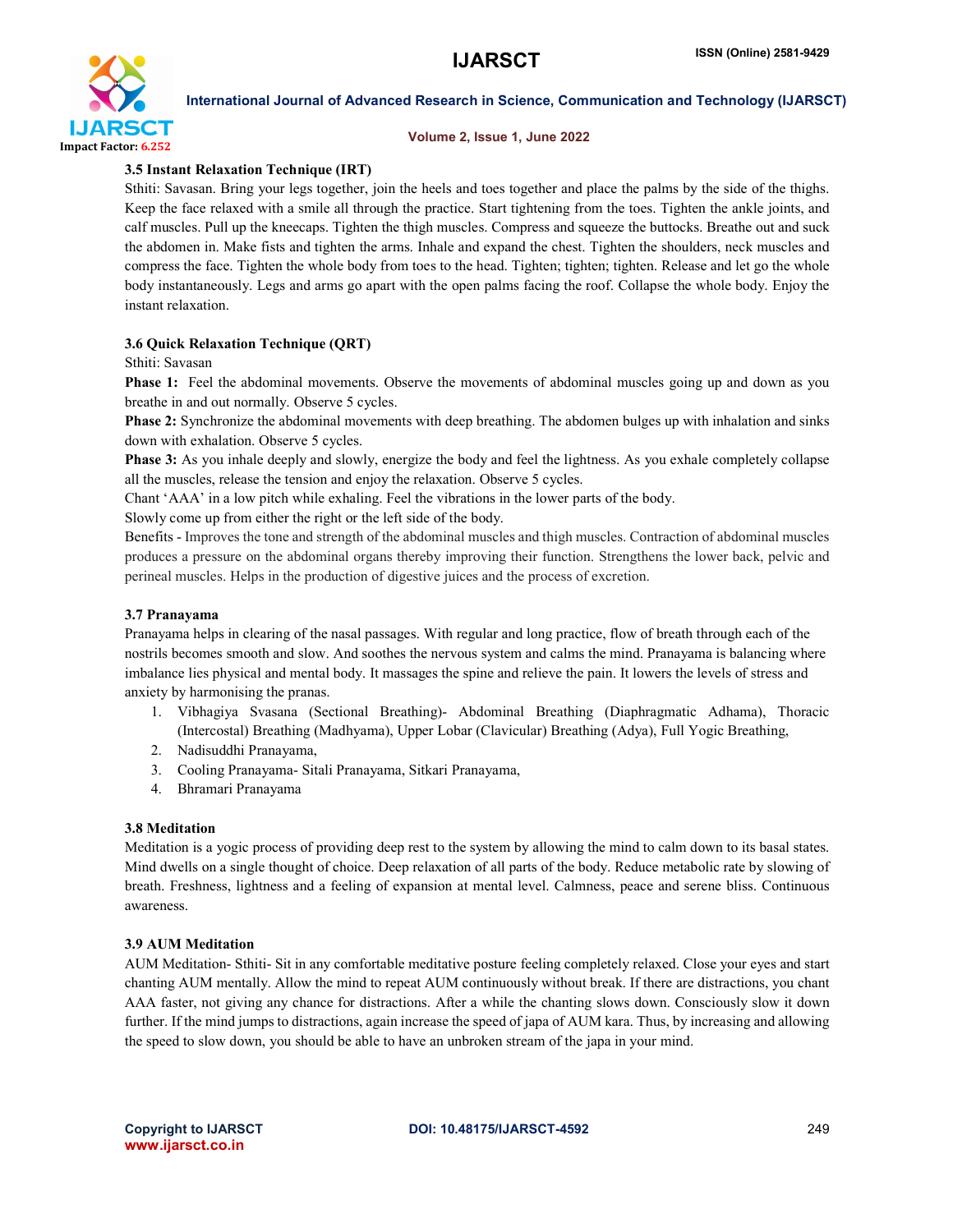

### Volume 2, Issue 1, June 2022

# 3.5 Instant Relaxation Technique (IRT)

Sthiti: Savasan. Bring your legs together, join the heels and toes together and place the palms by the side of the thighs. Keep the face relaxed with a smile all through the practice. Start tightening from the toes. Tighten the ankle joints, and calf muscles. Pull up the kneecaps. Tighten the thigh muscles. Compress and squeeze the buttocks. Breathe out and suck the abdomen in. Make fists and tighten the arms. Inhale and expand the chest. Tighten the shoulders, neck muscles and compress the face. Tighten the whole body from toes to the head. Tighten; tighten; tighten. Release and let go the whole body instantaneously. Legs and arms go apart with the open palms facing the roof. Collapse the whole body. Enjoy the instant relaxation.

# 3.6 Quick Relaxation Technique (QRT)

Sthiti: Savasan

**Phase 1:** Feel the abdominal movements. Observe the movements of abdominal muscles going up and down as you breathe in and out normally. Observe 5 cycles.

Phase 2: Synchronize the abdominal movements with deep breathing. The abdomen bulges up with inhalation and sinks down with exhalation. Observe 5 cycles.

Phase 3: As you inhale deeply and slowly, energize the body and feel the lightness. As you exhale completely collapse all the muscles, release the tension and enjoy the relaxation. Observe 5 cycles.

Chant 'AAA' in a low pitch while exhaling. Feel the vibrations in the lower parts of the body.

Slowly come up from either the right or the left side of the body.

Benefits - Improves the tone and strength of the abdominal muscles and thigh muscles. Contraction of abdominal muscles produces a pressure on the abdominal organs thereby improving their function. Strengthens the lower back, pelvic and perineal muscles. Helps in the production of digestive juices and the process of excretion.

# 3.7 Pranayama

Pranayama helps in clearing of the nasal passages. With regular and long practice, flow of breath through each of the nostrils becomes smooth and slow. And soothes the nervous system and calms the mind. Pranayama is balancing where imbalance lies physical and mental body. It massages the spine and relieve the pain. It lowers the levels of stress and anxiety by harmonising the pranas.

- 1. Vibhagiya Svasana (Sectional Breathing)- Abdominal Breathing (Diaphragmatic Adhama), Thoracic (Intercostal) Breathing (Madhyama), Upper Lobar (Clavicular) Breathing (Adya), Full Yogic Breathing,
- 2. Nadisuddhi Pranayama,
- 3. Cooling Pranayama- Sitali Pranayama, Sitkari Pranayama,
- 4. Bhramari Pranayama

# 3.8 Meditation

Meditation is a yogic process of providing deep rest to the system by allowing the mind to calm down to its basal states. Mind dwells on a single thought of choice. Deep relaxation of all parts of the body. Reduce metabolic rate by slowing of breath. Freshness, lightness and a feeling of expansion at mental level. Calmness, peace and serene bliss. Continuous awareness.

# 3.9 AUM Meditation

AUM Meditation- Sthiti- Sit in any comfortable meditative posture feeling completely relaxed. Close your eyes and start chanting AUM mentally. Allow the mind to repeat AUM continuously without break. If there are distractions, you chant AAA faster, not giving any chance for distractions. After a while the chanting slows down. Consciously slow it down further. If the mind jumps to distractions, again increase the speed of japa of AUM kara. Thus, by increasing and allowing the speed to slow down, you should be able to have an unbroken stream of the japa in your mind.